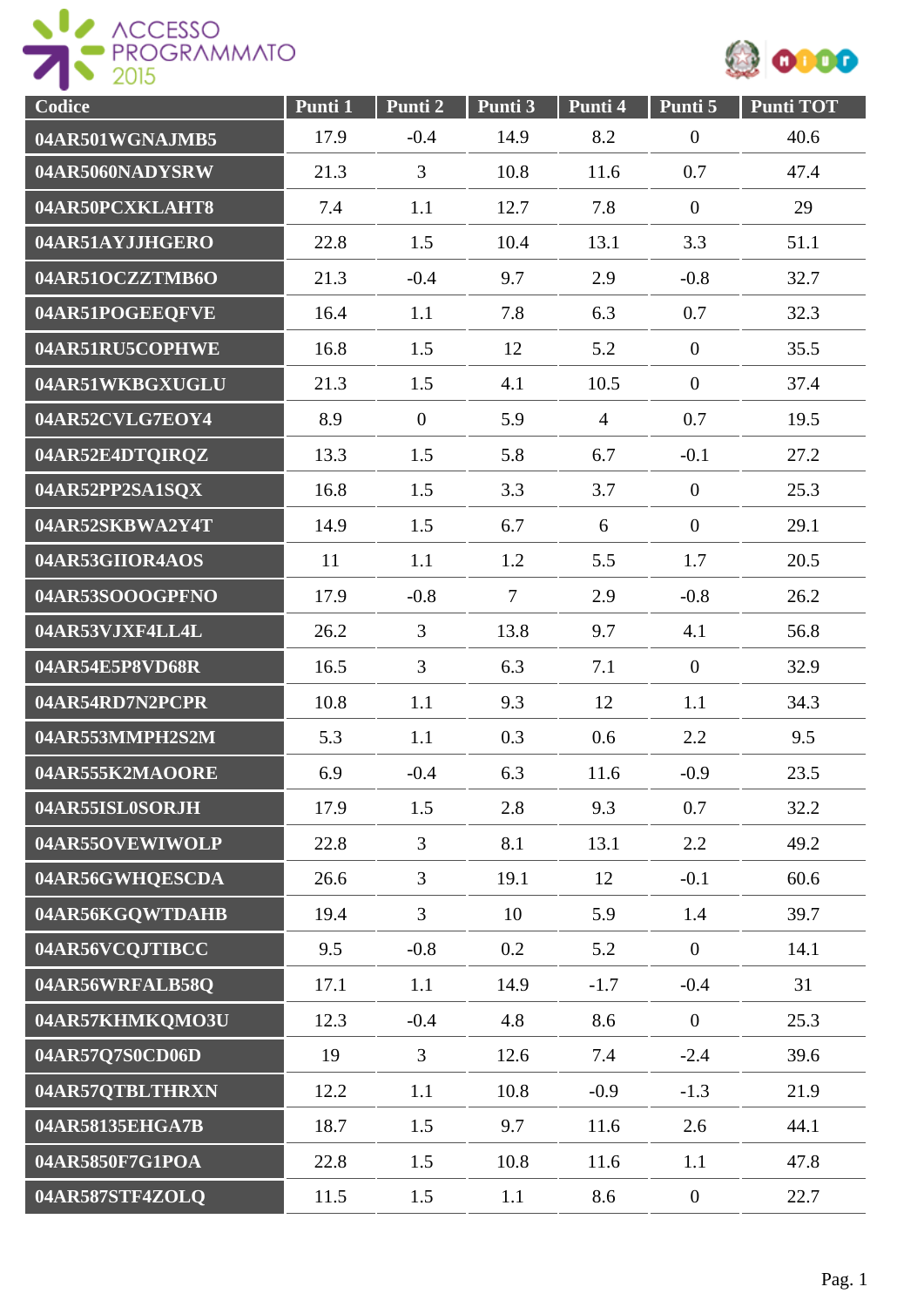



| Codice          | Punti 1 | Punti 2          | Punti 3        | Punti 4        | Punti 5          | <b>Punti TOT</b> |
|-----------------|---------|------------------|----------------|----------------|------------------|------------------|
| 04AR501WGNAJMB5 | 17.9    | $-0.4$           | 14.9           | 8.2            | $\boldsymbol{0}$ | 40.6             |
| 04AR5060NADYSRW | 21.3    | 3                | 10.8           | 11.6           | 0.7              | 47.4             |
| 04AR50PCXKLAHT8 | 7.4     | 1.1              | 12.7           | 7.8            | $\boldsymbol{0}$ | 29               |
| 04AR51AYJJHGERO | 22.8    | 1.5              | 10.4           | 13.1           | 3.3              | 51.1             |
| 04AR51OCZZTMB6O | 21.3    | $-0.4$           | 9.7            | 2.9            | $-0.8$           | 32.7             |
| 04AR51POGEEQFVE | 16.4    | 1.1              | 7.8            | 6.3            | 0.7              | 32.3             |
| 04AR51RU5COPHWE | 16.8    | 1.5              | 12             | 5.2            | $\boldsymbol{0}$ | 35.5             |
| 04AR51WKBGXUGLU | 21.3    | 1.5              | 4.1            | 10.5           | $\boldsymbol{0}$ | 37.4             |
| 04AR52CVLG7EOY4 | 8.9     | $\boldsymbol{0}$ | 5.9            | $\overline{4}$ | 0.7              | 19.5             |
| 04AR52E4DTQIRQZ | 13.3    | 1.5              | 5.8            | 6.7            | $-0.1$           | 27.2             |
| 04AR52PP2SA1SQX | 16.8    | 1.5              | 3.3            | 3.7            | $\overline{0}$   | 25.3             |
| 04AR52SKBWA2Y4T | 14.9    | 1.5              | 6.7            | 6              | $\overline{0}$   | 29.1             |
| 04AR53GIIOR4AOS | 11      | 1.1              | 1.2            | 5.5            | 1.7              | 20.5             |
| 04AR53SOOOGPFNO | 17.9    | $-0.8$           | $\overline{7}$ | 2.9            | $-0.8$           | 26.2             |
| 04AR53VJXF4LL4L | 26.2    | 3                | 13.8           | 9.7            | 4.1              | 56.8             |
| 04AR54E5P8VD68R | 16.5    | 3                | 6.3            | 7.1            | $\boldsymbol{0}$ | 32.9             |
| 04AR54RD7N2PCPR | 10.8    | 1.1              | 9.3            | 12             | 1.1              | 34.3             |
| 04AR553MMPH2S2M | 5.3     | 1.1              | 0.3            | 0.6            | 2.2              | 9.5              |
| 04AR555K2MAOORE | 6.9     | $-0.4$           | 6.3            | 11.6           | $-0.9$           | 23.5             |
| 04AR55ISL0SORJH | 17.9    | 1.5              | 2.8            | 9.3            | 0.7              | 32.2             |
| 04AR55OVEWIWOLP | 22.8    | $\overline{3}$   | 8.1            | 13.1           | 2.2              | 49.2             |
| 04AR56GWHQESCDA | 26.6    | $\overline{3}$   | 19.1           | 12             | $-0.1$           | 60.6             |
| 04AR56KGQWTDAHB | 19.4    | $\overline{3}$   | 10             | 5.9            | 1.4              | 39.7             |
| 04AR56VCQJTIBCC | 9.5     | $-0.8$           | 0.2            | 5.2            | $\overline{0}$   | 14.1             |
| 04AR56WRFALB58Q | 17.1    | 1.1              | 14.9           | $-1.7$         | $-0.4$           | 31               |
| 04AR57KHMKQMO3U | 12.3    | $-0.4$           | 4.8            | 8.6            | $\overline{0}$   | 25.3             |
| 04AR57Q7S0CD06D | 19      | $\mathfrak{Z}$   | 12.6           | 7.4            | $-2.4$           | 39.6             |
| 04AR57QTBLTHRXN | 12.2    | 1.1              | 10.8           | $-0.9$         | $-1.3$           | 21.9             |
| 04AR58135EHGA7B | 18.7    | 1.5              | 9.7            | 11.6           | 2.6              | 44.1             |
| 04AR5850F7G1POA | 22.8    | 1.5              | 10.8           | 11.6           | 1.1              | 47.8             |
| 04AR587STF4ZOLQ | 11.5    | 1.5              | 1.1            | 8.6            | $\overline{0}$   | 22.7             |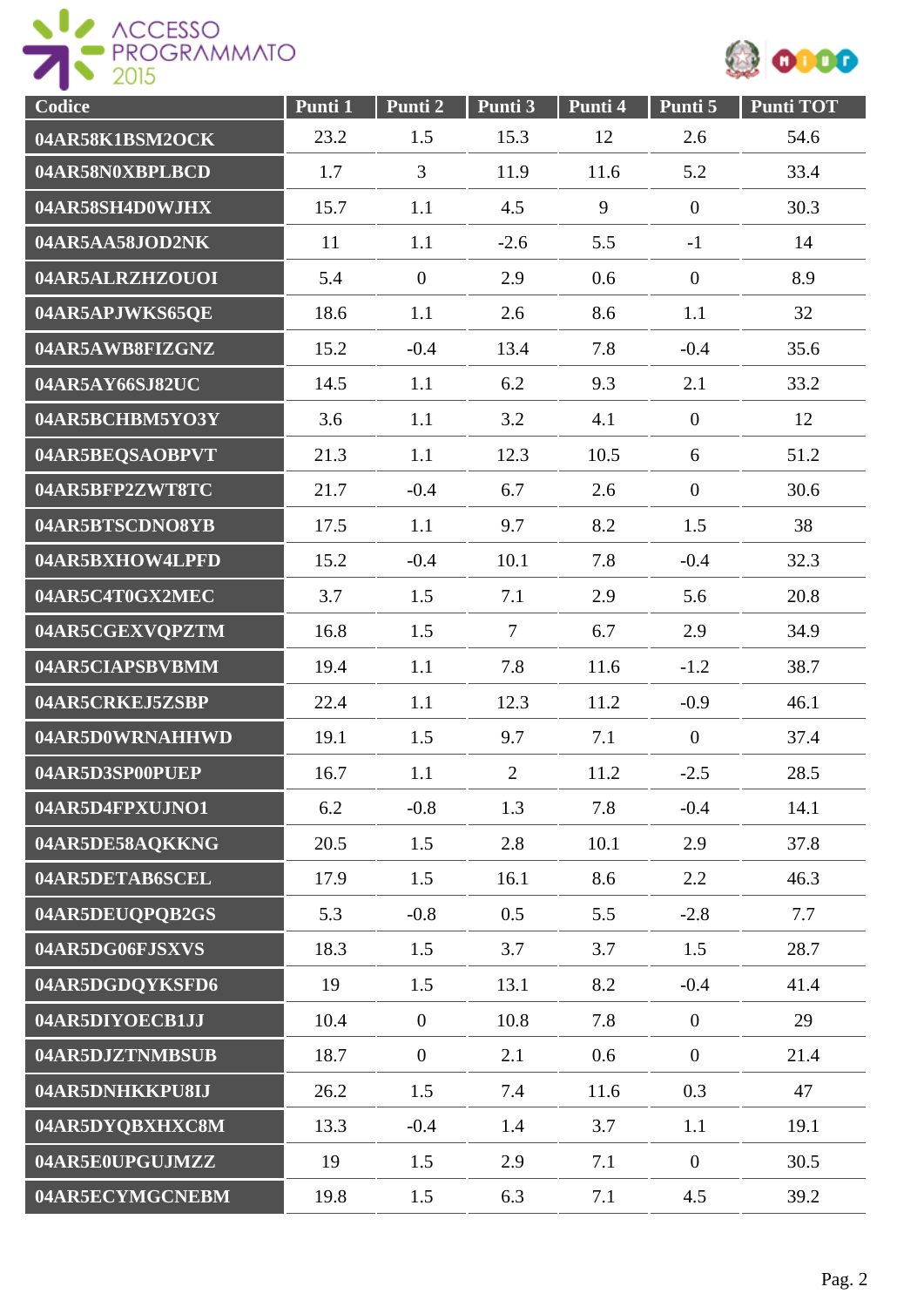



| Codice          | Punti 1 | Punti 2        | Punti 3        | Punti 4 | Punti 5          | <b>Punti TOT</b> |
|-----------------|---------|----------------|----------------|---------|------------------|------------------|
| 04AR58K1BSM2OCK | 23.2    | 1.5            | 15.3           | 12      | 2.6              | 54.6             |
| 04AR58N0XBPLBCD | 1.7     | 3              | 11.9           | 11.6    | 5.2              | 33.4             |
| 04AR58SH4D0WJHX | 15.7    | 1.1            | 4.5            | 9       | $\mathbf{0}$     | 30.3             |
| 04AR5AA58JOD2NK | 11      | 1.1            | $-2.6$         | 5.5     | $-1$             | 14               |
| 04AR5ALRZHZOUOI | 5.4     | $\overline{0}$ | 2.9            | 0.6     | $\mathbf{0}$     | 8.9              |
| 04AR5APJWKS65QE | 18.6    | 1.1            | 2.6            | 8.6     | 1.1              | 32               |
| 04AR5AWB8FIZGNZ | 15.2    | $-0.4$         | 13.4           | 7.8     | $-0.4$           | 35.6             |
| 04AR5AY66SJ82UC | 14.5    | 1.1            | 6.2            | 9.3     | 2.1              | 33.2             |
| 04AR5BCHBM5YO3Y | 3.6     | 1.1            | 3.2            | 4.1     | $\overline{0}$   | 12               |
| 04AR5BEQSAOBPVT | 21.3    | 1.1            | 12.3           | 10.5    | 6                | 51.2             |
| 04AR5BFP2ZWT8TC | 21.7    | $-0.4$         | 6.7            | 2.6     | $\mathbf{0}$     | 30.6             |
| 04AR5BTSCDNO8YB | 17.5    | 1.1            | 9.7            | 8.2     | 1.5              | 38               |
| 04AR5BXHOW4LPFD | 15.2    | $-0.4$         | 10.1           | 7.8     | $-0.4$           | 32.3             |
| 04AR5C4T0GX2MEC | 3.7     | 1.5            | 7.1            | 2.9     | 5.6              | 20.8             |
| 04AR5CGEXVQPZTM | 16.8    | 1.5            | $\overline{7}$ | 6.7     | 2.9              | 34.9             |
| 04AR5CIAPSBVBMM | 19.4    | 1.1            | 7.8            | 11.6    | $-1.2$           | 38.7             |
| 04AR5CRKEJ5ZSBP | 22.4    | 1.1            | 12.3           | 11.2    | $-0.9$           | 46.1             |
| 04AR5D0WRNAHHWD | 19.1    | 1.5            | 9.7            | 7.1     | $\mathbf{0}$     | 37.4             |
| 04AR5D3SP00PUEP | 16.7    | 1.1            | $\overline{2}$ | 11.2    | $-2.5$           | 28.5             |
| 04AR5D4FPXUJNO1 | 6.2     | $-0.8$         | 1.3            | 7.8     | $-0.4$           | 14.1             |
| 04AR5DE58AQKKNG | 20.5    | 1.5            | 2.8            | 10.1    | 2.9              | 37.8             |
| 04AR5DETAB6SCEL | 17.9    | 1.5            | 16.1           | 8.6     | 2.2              | 46.3             |
| 04AR5DEUQPQB2GS | 5.3     | $-0.8$         | 0.5            | 5.5     | $-2.8$           | 7.7              |
| 04AR5DG06FJSXVS | 18.3    | 1.5            | 3.7            | 3.7     | 1.5              | 28.7             |
| 04AR5DGDQYKSFD6 | 19      | 1.5            | 13.1           | 8.2     | $-0.4$           | 41.4             |
| 04AR5DIYOECB1JJ | 10.4    | $\overline{0}$ | 10.8           | 7.8     | $\overline{0}$   | 29               |
| 04AR5DJZTNMBSUB | 18.7    | $\overline{0}$ | 2.1            | 0.6     | $\overline{0}$   | 21.4             |
| 04AR5DNHKKPU8IJ | 26.2    | 1.5            | 7.4            | 11.6    | 0.3              | 47               |
| 04AR5DYQBXHXC8M | 13.3    | $-0.4$         | 1.4            | 3.7     | 1.1              | 19.1             |
| 04AR5E0UPGUJMZZ | 19      | 1.5            | 2.9            | 7.1     | $\boldsymbol{0}$ | 30.5             |
| 04AR5ECYMGCNEBM | 19.8    | 1.5            | 6.3            | 7.1     | 4.5              | 39.2             |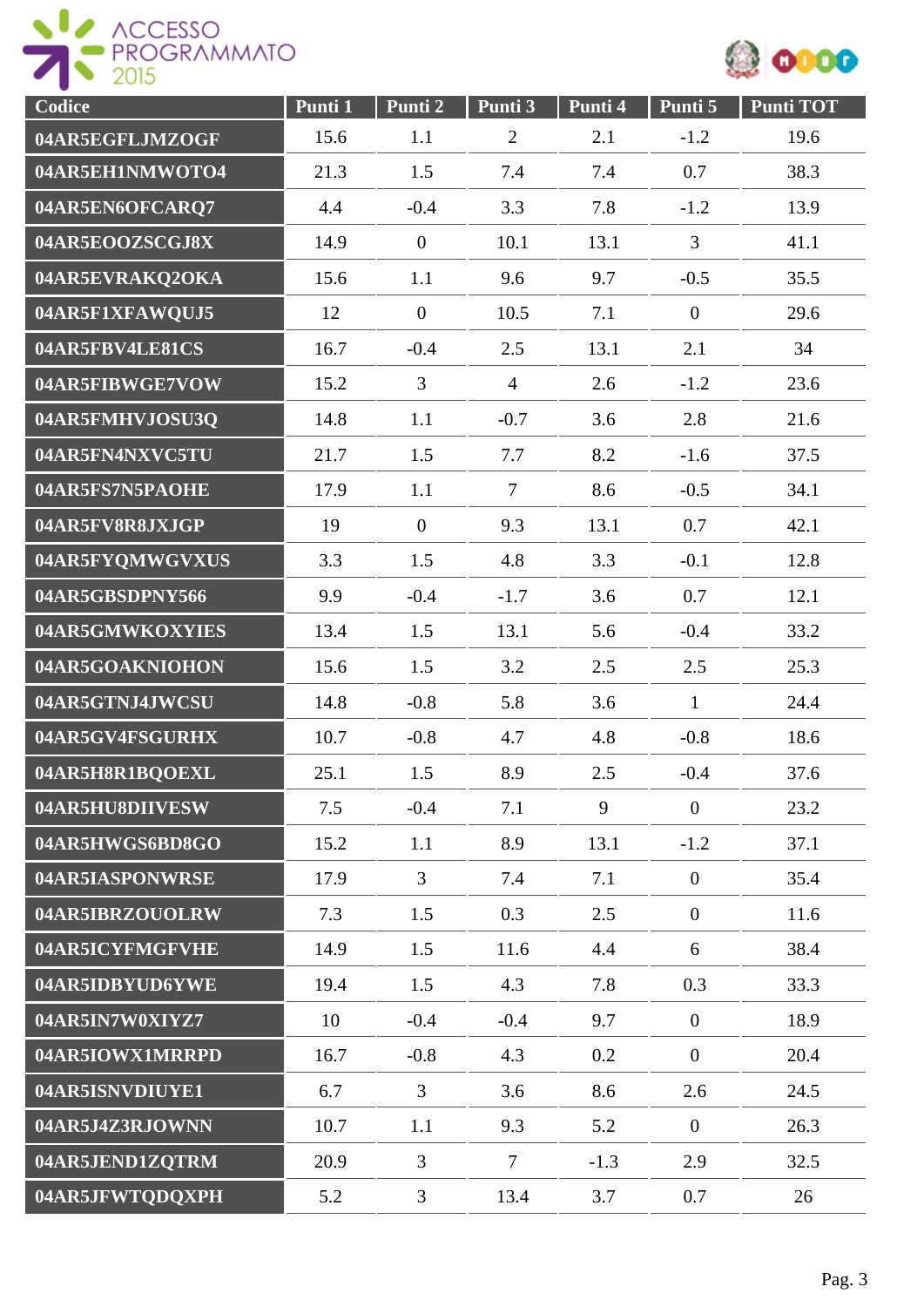



| Codice          | Punti 1 | Punti 2          | Punti 3        | Punti 4 | Punti 5          | <b>Punti TOT</b> |
|-----------------|---------|------------------|----------------|---------|------------------|------------------|
| 04AR5EGFLJMZOGF | 15.6    | 1.1              | $\overline{2}$ | 2.1     | $-1.2$           | 19.6             |
| 04AR5EH1NMWOTO4 | 21.3    | 1.5              | 7.4            | 7.4     | 0.7              | 38.3             |
| 04AR5EN6OFCARQ7 | 4.4     | $-0.4$           | 3.3            | 7.8     | $-1.2$           | 13.9             |
| 04AR5EOOZSCGJ8X | 14.9    | $\boldsymbol{0}$ | 10.1           | 13.1    | 3                | 41.1             |
| 04AR5EVRAKQ2OKA | 15.6    | 1.1              | 9.6            | 9.7     | $-0.5$           | 35.5             |
| 04AR5F1XFAWQUJ5 | 12      | $\overline{0}$   | 10.5           | 7.1     | $\overline{0}$   | 29.6             |
| 04AR5FBV4LE81CS | 16.7    | $-0.4$           | 2.5            | 13.1    | 2.1              | 34               |
| 04AR5FIBWGE7VOW | 15.2    | $\overline{3}$   | $\overline{4}$ | 2.6     | $-1.2$           | 23.6             |
| 04AR5FMHVJOSU3Q | 14.8    | 1.1              | $-0.7$         | 3.6     | 2.8              | 21.6             |
| 04AR5FN4NXVC5TU | 21.7    | 1.5              | 7.7            | 8.2     | $-1.6$           | 37.5             |
| 04AR5FS7N5PAOHE | 17.9    | 1.1              | $\overline{7}$ | 8.6     | $-0.5$           | 34.1             |
| 04AR5FV8R8JXJGP | 19      | $\boldsymbol{0}$ | 9.3            | 13.1    | 0.7              | 42.1             |
| 04AR5FYQMWGVXUS | 3.3     | 1.5              | 4.8            | 3.3     | $-0.1$           | 12.8             |
| 04AR5GBSDPNY566 | 9.9     | $-0.4$           | $-1.7$         | 3.6     | 0.7              | 12.1             |
| 04AR5GMWKOXYIES | 13.4    | 1.5              | 13.1           | 5.6     | $-0.4$           | 33.2             |
| 04AR5GOAKNIOHON | 15.6    | 1.5              | 3.2            | 2.5     | 2.5              | 25.3             |
| 04AR5GTNJ4JWCSU | 14.8    | $-0.8$           | 5.8            | 3.6     | $\mathbf{1}$     | 24.4             |
| 04AR5GV4FSGURHX | 10.7    | $-0.8$           | 4.7            | 4.8     | $-0.8$           | 18.6             |
| 04AR5H8R1BQOEXL | 25.1    | 1.5              | 8.9            | 2.5     | $-0.4$           | 37.6             |
| 04AR5HU8DIIVESW | 7.5     | $-0.4$           | 7.1            | 9       | $\boldsymbol{0}$ | 23.2             |
| 04AR5HWGS6BD8GO | 15.2    | 1.1              | 8.9            | 13.1    | $-1.2$           | 37.1             |
| 04AR5IASPONWRSE | 17.9    | $\overline{3}$   | 7.4            | 7.1     | $\overline{0}$   | 35.4             |
| 04AR5IBRZOUOLRW | 7.3     | 1.5              | 0.3            | 2.5     | $\boldsymbol{0}$ | 11.6             |
| 04AR5ICYFMGFVHE | 14.9    | 1.5              | 11.6           | 4.4     | 6                | 38.4             |
| 04AR5IDBYUD6YWE | 19.4    | 1.5              | 4.3            | 7.8     | 0.3              | 33.3             |
| 04AR5IN7W0XIYZ7 | 10      | $-0.4$           | $-0.4$         | 9.7     | $\overline{0}$   | 18.9             |
| 04AR5IOWX1MRRPD | 16.7    | $-0.8$           | 4.3            | 0.2     | $\overline{0}$   | 20.4             |
| 04AR5ISNVDIUYE1 | 6.7     | $\overline{3}$   | 3.6            | 8.6     | 2.6              | 24.5             |
| 04AR5J4Z3RJOWNN | 10.7    | 1.1              | 9.3            | 5.2     | $\overline{0}$   | 26.3             |
| 04AR5JEND1ZQTRM | 20.9    | 3                | $\overline{7}$ | $-1.3$  | 2.9              | 32.5             |
| 04AR5JFWTQDQXPH | 5.2     | 3                | 13.4           | 3.7     | 0.7              | 26               |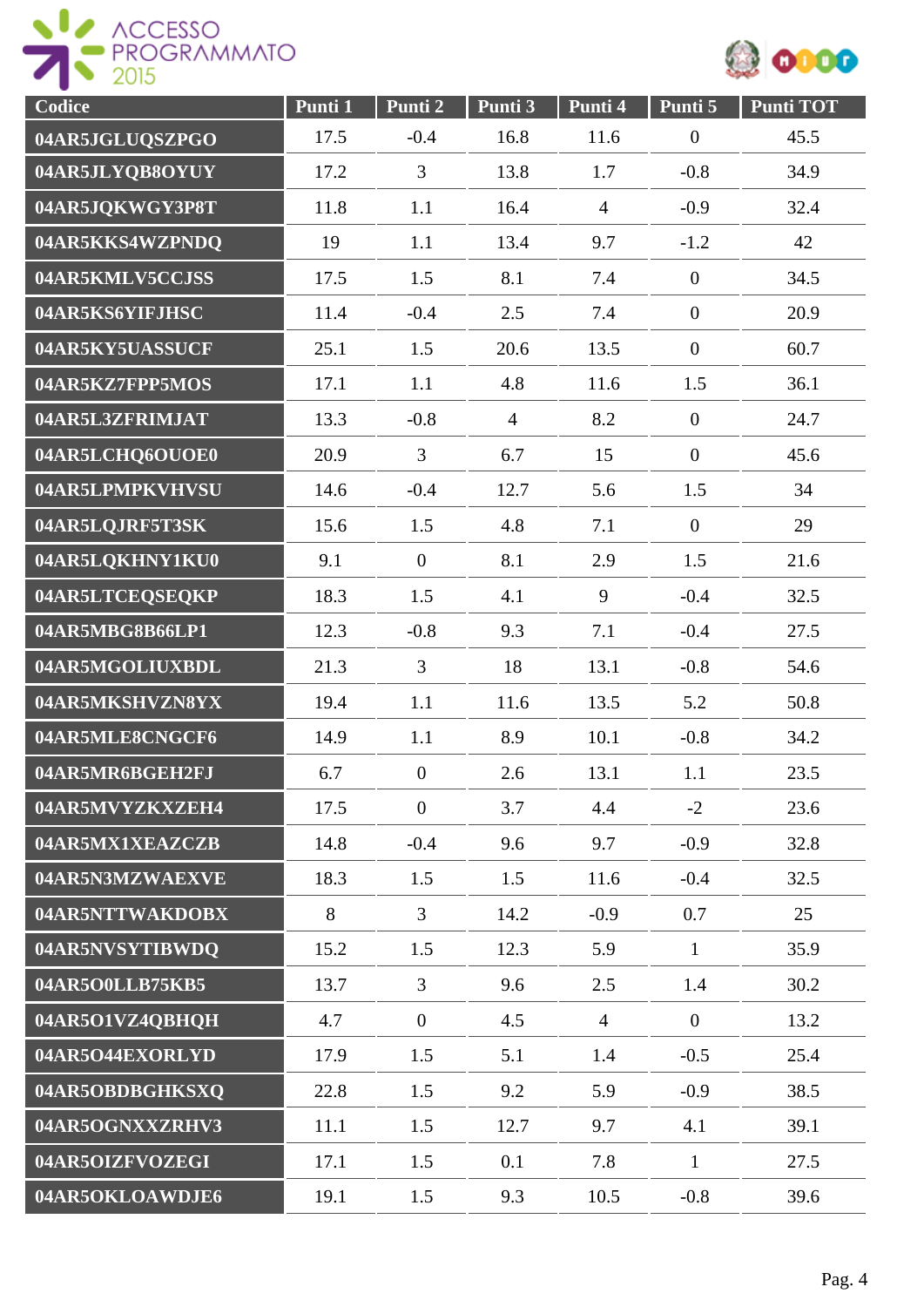



| Codice          | Punti 1 | Punti 2          | Punti 3        | Punti 4        | Punti 5          | <b>Punti TOT</b> |
|-----------------|---------|------------------|----------------|----------------|------------------|------------------|
| 04AR5JGLUQSZPGO | 17.5    | $-0.4$           | 16.8           | 11.6           | $\overline{0}$   | 45.5             |
| 04AR5JLYQB8OYUY | 17.2    | 3                | 13.8           | 1.7            | $-0.8$           | 34.9             |
| 04AR5JQKWGY3P8T | 11.8    | 1.1              | 16.4           | $\overline{4}$ | $-0.9$           | 32.4             |
| 04AR5KKS4WZPNDQ | 19      | 1.1              | 13.4           | 9.7            | $-1.2$           | 42               |
| 04AR5KMLV5CCJSS | 17.5    | 1.5              | 8.1            | 7.4            | $\boldsymbol{0}$ | 34.5             |
| 04AR5KS6YIFJHSC | 11.4    | $-0.4$           | 2.5            | 7.4            | $\overline{0}$   | 20.9             |
| 04AR5KY5UASSUCF | 25.1    | 1.5              | 20.6           | 13.5           | $\overline{0}$   | 60.7             |
| 04AR5KZ7FPP5MOS | 17.1    | 1.1              | 4.8            | 11.6           | 1.5              | 36.1             |
| 04AR5L3ZFRIMJAT | 13.3    | $-0.8$           | $\overline{4}$ | 8.2            | $\overline{0}$   | 24.7             |
| 04AR5LCHQ6OUOE0 | 20.9    | $\overline{3}$   | 6.7            | 15             | $\overline{0}$   | 45.6             |
| 04AR5LPMPKVHVSU | 14.6    | $-0.4$           | 12.7           | 5.6            | 1.5              | 34               |
| 04AR5LQJRF5T3SK | 15.6    | 1.5              | 4.8            | 7.1            | $\mathbf{0}$     | 29               |
| 04AR5LQKHNY1KU0 | 9.1     | $\mathbf{0}$     | 8.1            | 2.9            | 1.5              | 21.6             |
| 04AR5LTCEQSEQKP | 18.3    | 1.5              | 4.1            | 9              | $-0.4$           | 32.5             |
| 04AR5MBG8B66LP1 | 12.3    | $-0.8$           | 9.3            | 7.1            | $-0.4$           | 27.5             |
| 04AR5MGOLIUXBDL | 21.3    | $\overline{3}$   | 18             | 13.1           | $-0.8$           | 54.6             |
| 04AR5MKSHVZN8YX | 19.4    | 1.1              | 11.6           | 13.5           | 5.2              | 50.8             |
| 04AR5MLE8CNGCF6 | 14.9    | 1.1              | 8.9            | 10.1           | $-0.8$           | 34.2             |
| 04AR5MR6BGEH2FJ | 6.7     | $\boldsymbol{0}$ | 2.6            | 13.1           | 1.1              | 23.5             |
| 04AR5MVYZKXZEH4 | 17.5    | $\overline{0}$   | 3.7            | 4.4            | $-2$             | 23.6             |
| 04AR5MX1XEAZCZB | 14.8    | $-0.4$           | 9.6            | 9.7            | $-0.9$           | 32.8             |
| 04AR5N3MZWAEXVE | 18.3    | 1.5              | 1.5            | 11.6           | $-0.4$           | 32.5             |
| 04AR5NTTWAKDOBX | 8       | $\overline{3}$   | 14.2           | $-0.9$         | 0.7              | 25               |
| 04AR5NVSYTIBWDQ | 15.2    | 1.5              | 12.3           | 5.9            | $\mathbf{1}$     | 35.9             |
| 04AR5O0LLB75KB5 | 13.7    | $\overline{3}$   | 9.6            | 2.5            | 1.4              | 30.2             |
| 04AR5O1VZ4QBHQH | 4.7     | $\mathbf{0}$     | 4.5            | $\overline{4}$ | $\overline{0}$   | 13.2             |
| 04AR5O44EXORLYD | 17.9    | 1.5              | 5.1            | 1.4            | $-0.5$           | 25.4             |
| 04AR5OBDBGHKSXQ | 22.8    | 1.5              | 9.2            | 5.9            | $-0.9$           | 38.5             |
| 04AR5OGNXXZRHV3 | 11.1    | 1.5              | 12.7           | 9.7            | 4.1              | 39.1             |
| 04AR5OIZFVOZEGI | 17.1    | 1.5              | 0.1            | 7.8            | $\mathbf{1}$     | 27.5             |
| 04AR5OKLOAWDJE6 | 19.1    | 1.5              | 9.3            | 10.5           | $-0.8$           | 39.6             |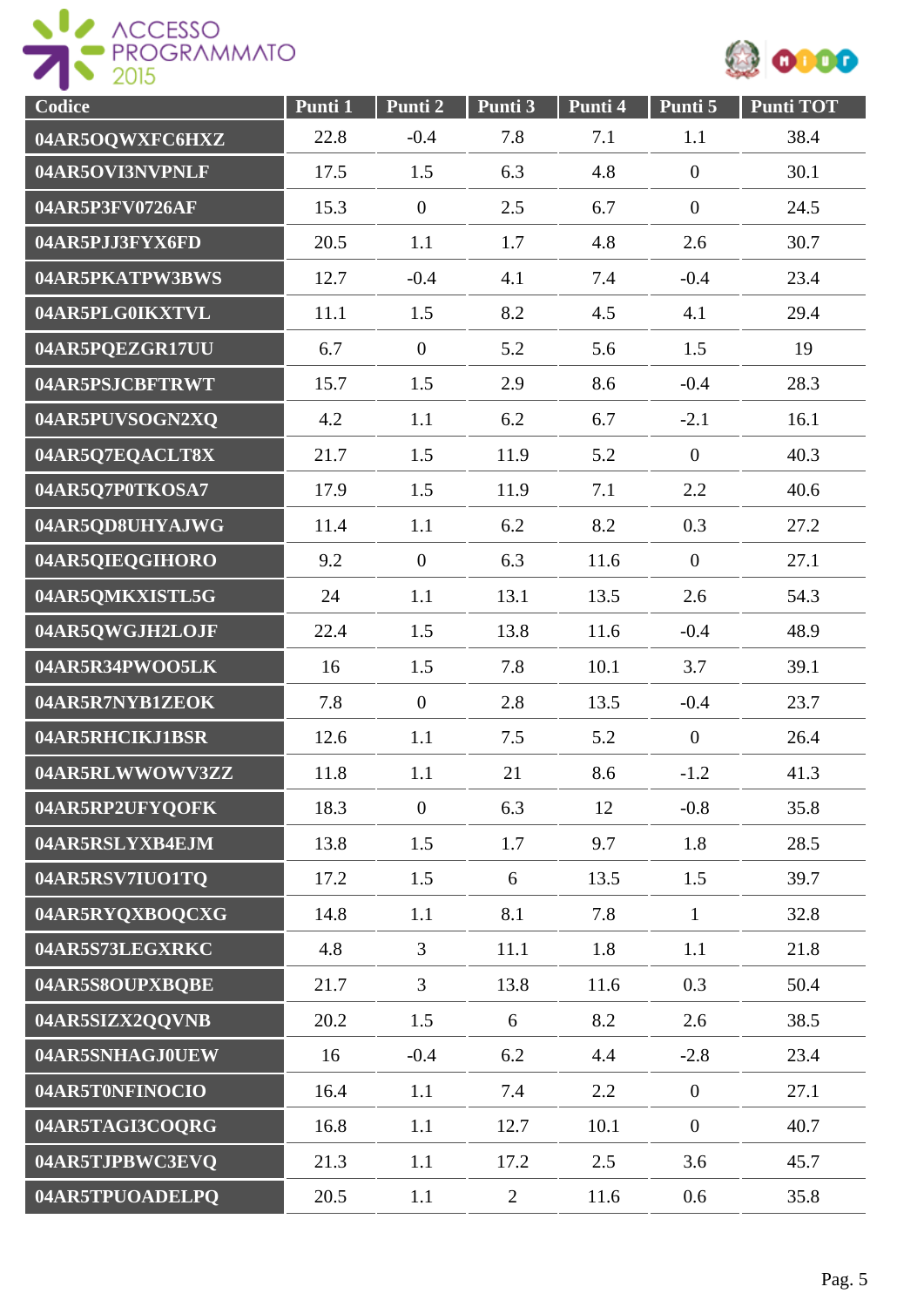



| Codice          | Punti 1 | Punti 2          | Punti 3        | Punti 4 | Punti 5          | <b>Punti TOT</b> |
|-----------------|---------|------------------|----------------|---------|------------------|------------------|
| 04AR5OQWXFC6HXZ | 22.8    | $-0.4$           | 7.8            | 7.1     | 1.1              | 38.4             |
| 04AR5OVI3NVPNLF | 17.5    | 1.5              | 6.3            | 4.8     | $\overline{0}$   | 30.1             |
| 04AR5P3FV0726AF | 15.3    | $\boldsymbol{0}$ | 2.5            | 6.7     | $\overline{0}$   | 24.5             |
| 04AR5PJJ3FYX6FD | 20.5    | 1.1              | 1.7            | 4.8     | 2.6              | 30.7             |
| 04AR5PKATPW3BWS | 12.7    | $-0.4$           | 4.1            | 7.4     | $-0.4$           | 23.4             |
| 04AR5PLG0IKXTVL | 11.1    | 1.5              | 8.2            | 4.5     | 4.1              | 29.4             |
| 04AR5PQEZGR17UU | 6.7     | $\overline{0}$   | 5.2            | 5.6     | 1.5              | 19               |
| 04AR5PSJCBFTRWT | 15.7    | 1.5              | 2.9            | 8.6     | $-0.4$           | 28.3             |
| 04AR5PUVSOGN2XQ | 4.2     | 1.1              | 6.2            | 6.7     | $-2.1$           | 16.1             |
| 04AR5Q7EQACLT8X | 21.7    | 1.5              | 11.9           | 5.2     | $\overline{0}$   | 40.3             |
| 04AR5Q7P0TKOSA7 | 17.9    | 1.5              | 11.9           | 7.1     | 2.2              | 40.6             |
| 04AR5QD8UHYAJWG | 11.4    | 1.1              | 6.2            | 8.2     | 0.3              | 27.2             |
| 04AR5QIEQGIHORO | 9.2     | $\overline{0}$   | 6.3            | 11.6    | $\overline{0}$   | 27.1             |
| 04AR5QMKXISTL5G | 24      | 1.1              | 13.1           | 13.5    | 2.6              | 54.3             |
| 04AR5QWGJH2LOJF | 22.4    | 1.5              | 13.8           | 11.6    | $-0.4$           | 48.9             |
| 04AR5R34PWOO5LK | 16      | 1.5              | 7.8            | 10.1    | 3.7              | 39.1             |
| 04AR5R7NYB1ZEOK | 7.8     | $\overline{0}$   | 2.8            | 13.5    | $-0.4$           | 23.7             |
| 04AR5RHCIKJ1BSR | 12.6    | 1.1              | 7.5            | 5.2     | $\overline{0}$   | 26.4             |
| 04AR5RLWWOWV3ZZ | 11.8    | 1.1              | 21             | 8.6     | $-1.2$           | 41.3             |
| 04AR5RP2UFYQOFK | 18.3    | $\boldsymbol{0}$ | 6.3            | 12      | $-0.8$           | 35.8             |
| 04AR5RSLYXB4EJM | 13.8    | 1.5              | 1.7            | 9.7     | 1.8              | 28.5             |
| 04AR5RSV7IUO1TQ | 17.2    | 1.5              | 6              | 13.5    | 1.5              | 39.7             |
| 04AR5RYQXBOQCXG | 14.8    | 1.1              | 8.1            | 7.8     | $\mathbf{1}$     | 32.8             |
| 04AR5S73LEGXRKC | 4.8     | $\overline{3}$   | 11.1           | 1.8     | 1.1              | 21.8             |
| 04AR5S8OUPXBOBE | 21.7    | $\overline{3}$   | 13.8           | 11.6    | 0.3              | 50.4             |
| 04AR5SIZX2QQVNB | 20.2    | 1.5              | 6              | 8.2     | 2.6              | 38.5             |
| 04AR5SNHAGJ0UEW | 16      | $-0.4$           | 6.2            | 4.4     | $-2.8$           | 23.4             |
| 04AR5T0NFINOCIO | 16.4    | 1.1              | 7.4            | 2.2     | $\boldsymbol{0}$ | 27.1             |
| 04AR5TAGI3COQRG | 16.8    | 1.1              | 12.7           | 10.1    | $\boldsymbol{0}$ | 40.7             |
| 04AR5TJPBWC3EVQ | 21.3    | 1.1              | 17.2           | 2.5     | 3.6              | 45.7             |
| 04AR5TPUOADELPQ | 20.5    | 1.1              | $\overline{2}$ | 11.6    | 0.6              | 35.8             |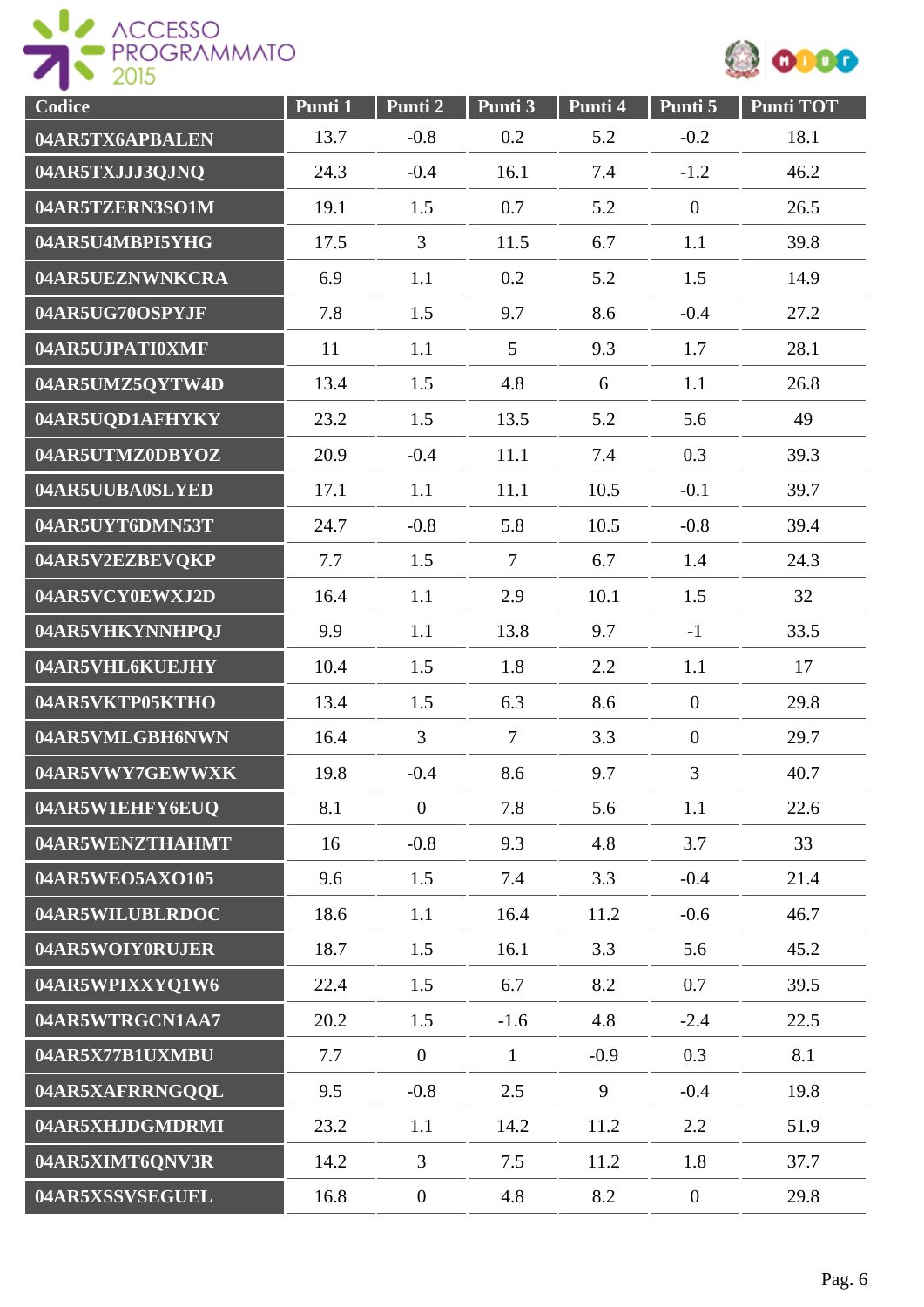



| Codice          | Punti 1 | Punti 2          | Punti 3        | Punti 4 | Punti 5          | <b>Punti TOT</b> |
|-----------------|---------|------------------|----------------|---------|------------------|------------------|
| 04AR5TX6APBALEN | 13.7    | $-0.8$           | 0.2            | 5.2     | $-0.2$           | 18.1             |
| 04AR5TXJJJ3QJNQ | 24.3    | $-0.4$           | 16.1           | 7.4     | $-1.2$           | 46.2             |
| 04AR5TZERN3SO1M | 19.1    | 1.5              | 0.7            | 5.2     | $\boldsymbol{0}$ | 26.5             |
| 04AR5U4MBPI5YHG | 17.5    | 3                | 11.5           | 6.7     | 1.1              | 39.8             |
| 04AR5UEZNWNKCRA | 6.9     | 1.1              | 0.2            | 5.2     | 1.5              | 14.9             |
| 04AR5UG70OSPYJF | 7.8     | 1.5              | 9.7            | 8.6     | $-0.4$           | 27.2             |
| 04AR5UJPATI0XMF | 11      | 1.1              | 5              | 9.3     | 1.7              | 28.1             |
| 04AR5UMZ5QYTW4D | 13.4    | 1.5              | 4.8            | 6       | 1.1              | 26.8             |
| 04AR5UQD1AFHYKY | 23.2    | 1.5              | 13.5           | 5.2     | 5.6              | 49               |
| 04AR5UTMZ0DBYOZ | 20.9    | $-0.4$           | 11.1           | 7.4     | 0.3              | 39.3             |
| 04AR5UUBA0SLYED | 17.1    | 1.1              | 11.1           | 10.5    | $-0.1$           | 39.7             |
| 04AR5UYT6DMN53T | 24.7    | $-0.8$           | 5.8            | 10.5    | $-0.8$           | 39.4             |
| 04AR5V2EZBEVQKP | 7.7     | 1.5              | $\overline{7}$ | 6.7     | 1.4              | 24.3             |
| 04AR5VCY0EWXJ2D | 16.4    | 1.1              | 2.9            | 10.1    | 1.5              | 32               |
| 04AR5VHKYNNHPQJ | 9.9     | 1.1              | 13.8           | 9.7     | $-1$             | 33.5             |
| 04AR5VHL6KUEJHY | 10.4    | 1.5              | 1.8            | 2.2     | 1.1              | 17               |
| 04AR5VKTP05KTHO | 13.4    | 1.5              | 6.3            | 8.6     | $\overline{0}$   | 29.8             |
| 04AR5VMLGBH6NWN | 16.4    | 3                | $\overline{7}$ | 3.3     | $\boldsymbol{0}$ | 29.7             |
| 04AR5VWY7GEWWXK | 19.8    | $-0.4$           | 8.6            | 9.7     | 3                | 40.7             |
| 04AR5W1EHFY6EUQ | 8.1     | $\overline{0}$   | 7.8            | 5.6     | 1.1              | 22.6             |
| 04AR5WENZTHAHMT | 16      | $-0.8$           | 9.3            | 4.8     | 3.7              | 33               |
| 04AR5WEO5AX0105 | 9.6     | 1.5              | 7.4            | 3.3     | $-0.4$           | 21.4             |
| 04AR5WILUBLRDOC | 18.6    | 1.1              | 16.4           | 11.2    | $-0.6$           | 46.7             |
| 04AR5WOIY0RUJER | 18.7    | 1.5              | 16.1           | 3.3     | 5.6              | 45.2             |
| 04AR5WPIXXYQ1W6 | 22.4    | 1.5              | 6.7            | 8.2     | 0.7              | 39.5             |
| 04AR5WTRGCN1AA7 | 20.2    | 1.5              | $-1.6$         | 4.8     | $-2.4$           | 22.5             |
| 04AR5X77B1UXMBU | 7.7     | $\overline{0}$   | $\mathbf{1}$   | $-0.9$  | 0.3              | 8.1              |
| 04AR5XAFRRNGQQL | 9.5     | $-0.8$           | 2.5            | 9       | $-0.4$           | 19.8             |
| 04AR5XHJDGMDRMI | 23.2    | 1.1              | 14.2           | 11.2    | 2.2              | 51.9             |
| 04AR5XIMT6QNV3R | 14.2    | $\overline{3}$   | 7.5            | 11.2    | 1.8              | 37.7             |
| 04AR5XSSVSEGUEL | 16.8    | $\boldsymbol{0}$ | 4.8            | 8.2     | $\overline{0}$   | 29.8             |